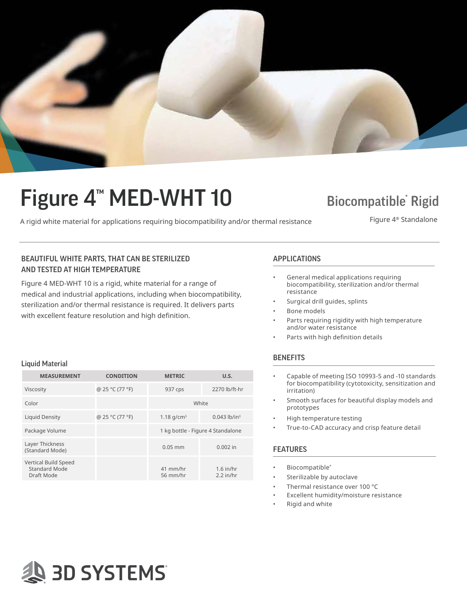

# Figure 4<sup>™</sup> MED-WHT 10

### **Biocompatible Rigid**

A rigid white material for applications requiring biocompatibility and/or thermal resistance Figure 4<sup>®</sup> Standalone

### BEAUTIFUL WHITE PARTS, THAT CAN BE STERILIZED **APPLICATIONS** AND TESTED AT HIGH TEMPERATURE

Figure 4 MED-WHT 10 is a rigid, white material for a range of medical and industrial applications, including when biocompatibility, sterilization and/or thermal resistance is required. It delivers parts with excellent feature resolution and high definition.

- General medical applications requiring biocompatibility, sterilization and/or thermal resistance
- Surgical drill guides, splints
- Bone models
- Parts requiring rigidity with high temperature and/or water resistance
- Parts with high definition details

#### **BENEFITS**

- Capable of meeting ISO 10993-5 and -10 standards for biocompatibility (cytotoxicity, sensitization and irritation)
- Smooth surfaces for beautiful display models and prototypes
- High temperature testing
- True-to-CAD accuracy and crisp feature detail

#### FEATURES

- Biocompatible\*
- Sterilizable by autoclave
- Thermal resistance over 100 °C
- Excellent humidity/moisture resistance
- Rigid and white

#### Liquid Material

| <b>MEASUREMENT</b>                                  | <b>CONDITION</b> | <b>METRIC</b>                     | U.S.                       |
|-----------------------------------------------------|------------------|-----------------------------------|----------------------------|
| Viscosity                                           | @ 25 °C (77 °F)  | 937 cps                           | 2270 lb/ft-hr              |
| Color                                               |                  | White                             |                            |
| Liquid Density                                      | @ 25 °C (77 °F)  | 1.18 $q/cm^3$                     | $0.043$ lb/in <sup>3</sup> |
| Package Volume                                      |                  | 1 kg bottle - Figure 4 Standalone |                            |
| Layer Thickness<br>(Standard Mode)                  |                  | $0.05$ mm                         | $0.002$ in                 |
| Vertical Build Speed<br>Standard Mode<br>Draft Mode |                  | 41 mm/hr<br>56 mm/hr              | $1.6$ in/hr<br>$2.2$ in/hr |